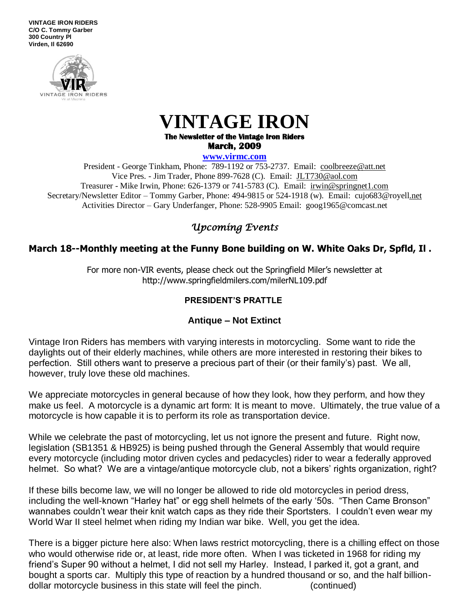**VINTAGE IRON RIDERS C/O C. Tommy Garber 300 Country Pl Virden, Il 62690**



## **VINTAGE IRON**

**The Newsletter of the Vintage Iron Riders March, 2009** 

**www.virmc.com** 

President - George Tinkham, Phone: 789-1192 or 753-2737. Email: [coolbreeze@att.net](mailto:coolbreeze@att.net) Vice Pres. - Jim Trader, Phone 899-7628 (C). Email: [JLT730@aol.com](mailto:JLT730@aol.com) Treasurer - Mike Irwin, Phone: 626-1379 or 741-5783 (C). Email: irwin@springnet1.com Secretary/Newsletter Editor – Tommy Garber, Phone: 494-9815 or 524-1918 (w). Email: cujo683@royell.net Activities Director – Gary Underfanger, Phone: 528-9905 Email: goog1965@comcast.net

### *Upcoming Events*

### **March 18--Monthly meeting at the Funny Bone building on W. White Oaks Dr, Spfld, Il .**

For more non-VIR events, please check out the Springfield Miler's newsletter at http://www.springfieldmilers.com/milerNL109.pdf

#### **PRESIDENT'S PRATTLE**

#### **Antique – Not Extinct**

Vintage Iron Riders has members with varying interests in motorcycling. Some want to ride the daylights out of their elderly machines, while others are more interested in restoring their bikes to perfection. Still others want to preserve a precious part of their (or their family's) past. We all, however, truly love these old machines.

We appreciate motorcycles in general because of how they look, how they perform, and how they make us feel. A motorcycle is a dynamic art form: It is meant to move. Ultimately, the true value of a motorcycle is how capable it is to perform its role as transportation device.

While we celebrate the past of motorcycling, let us not ignore the present and future. Right now, legislation (SB1351 & HB925) is being pushed through the General Assembly that would require every motorcycle (including motor driven cycles and pedacycles) rider to wear a federally approved helmet. So what? We are a vintage/antique motorcycle club, not a bikers' rights organization, right?

If these bills become law, we will no longer be allowed to ride old motorcycles in period dress, including the well-known "Harley hat" or egg shell helmets of the early '50s. "Then Came Bronson" wannabes couldn't wear their knit watch caps as they ride their Sportsters. I couldn't even wear my World War II steel helmet when riding my Indian war bike. Well, you get the idea.

There is a bigger picture here also: When laws restrict motorcycling, there is a chilling effect on those who would otherwise ride or, at least, ride more often. When I was ticketed in 1968 for riding my friend's Super 90 without a helmet, I did not sell my Harley. Instead, I parked it, got a grant, and bought a sports car. Multiply this type of reaction by a hundred thousand or so, and the half billiondollar motorcycle business in this state will feel the pinch. (continued)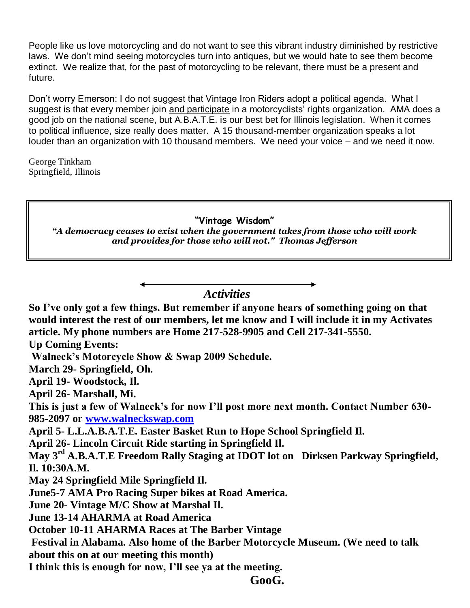People like us love motorcycling and do not want to see this vibrant industry diminished by restrictive laws. We don't mind seeing motorcycles turn into antiques, but we would hate to see them become extinct. We realize that, for the past of motorcycling to be relevant, there must be a present and future.

Don't worry Emerson: I do not suggest that Vintage Iron Riders adopt a political agenda. What I suggest is that every member join and participate in a motorcyclists' rights organization. AMA does a good job on the national scene, but A.B.A.T.E. is our best bet for Illinois legislation. When it comes to political influence, size really does matter. A 15 thousand-member organization speaks a lot louder than an organization with 10 thousand members. We need your voice – and we need it now.

George Tinkham Springfield, Illinois

### **"Vintage Wisdom"**

*"A democracy ceases to exist when the government takes from those who will work and provides for those who will not." Thomas Jefferson*

 *Activities*

**So I've only got a few things. But remember if anyone hears of something going on that would interest the rest of our members, let me know and I will include it in my Activates article. My phone numbers are Home 217-528-9905 and Cell 217-341-5550. Up Coming Events: Walneck's Motorcycle Show & Swap 2009 Schedule. March 29- Springfield, Oh. April 19- Woodstock, Il. April 26- Marshall, Mi. This is just a few of Walneck's for now I'll post more next month. Contact Number 630- 985-2097 or [www.walneckswap.com](http://www.walneckswap.com/) April 5- L.L.A.B.A.T.E. Easter Basket Run to Hope School Springfield Il. April 26- Lincoln Circuit Ride starting in Springfield Il. May 3rd A.B.A.T.E Freedom Rally Staging at IDOT lot on Dirksen Parkway Springfield, Il. 10:30A.M.**

**May 24 Springfield Mile Springfield Il.**

**June5-7 AMA Pro Racing Super bikes at Road America.**

**June 20- Vintage M/C Show at Marshal Il.**

**June 13-14 AHARMA at Road America** 

**October 10-11 AHARMA Races at The Barber Vintage**

**Festival in Alabama. Also home of the Barber Motorcycle Museum. (We need to talk about this on at our meeting this month)**

**I think this is enough for now, I'll see ya at the meeting.**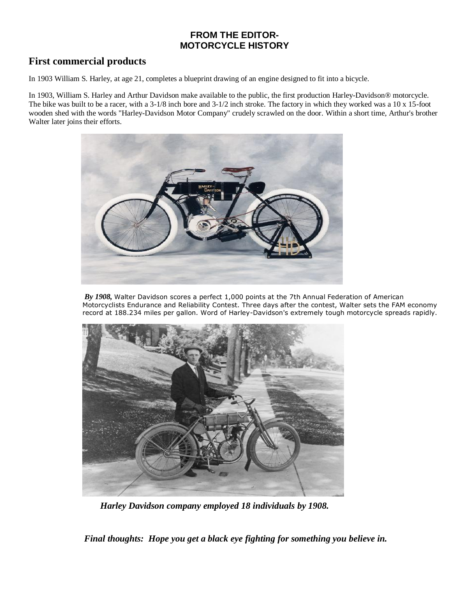#### **FROM THE EDITOR-MOTORCYCLE HISTORY**

#### **First commercial products**

In 1903 William S. Harley, at age 21, completes a blueprint drawing of an engine designed to fit into a bicycle.

In 1903, William S. Harley and Arthur Davidson make available to the public, the first production Harley-Davidson® motorcycle. The bike was built to be a racer, with a 3-1/8 inch bore and 3-1/2 inch stroke. The factory in which they worked was a 10 x 15-foot wooden shed with the words "Harley-Davidson Motor Company" crudely scrawled on the door. Within a short time, Arthur's brother Walter later joins their efforts.



 *By 1908,* Walter Davidson scores a perfect 1,000 points at the 7th Annual Federation of American Motorcyclists Endurance and Reliability Contest. Three days after the contest, Walter sets the FAM economy record at 188.234 miles per gallon. Word of Harley-Davidson's extremely tough motorcycle spreads rapidly.



 *Harley Davidson company employed 18 individuals by 1908.* 

*Final thoughts: Hope you get a black eye fighting for something you believe in.*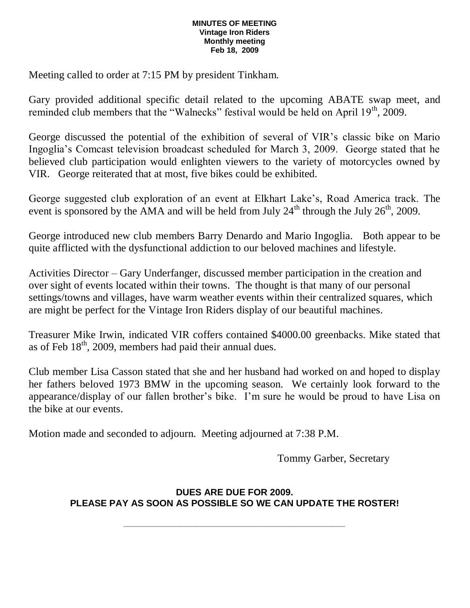#### **MINUTES OF MEETING Vintage Iron Riders Monthly meeting Feb 18, 2009**

Meeting called to order at 7:15 PM by president Tinkham.

Gary provided additional specific detail related to the upcoming ABATE swap meet, and reminded club members that the "Walnecks" festival would be held on April 19<sup>th</sup>, 2009.

George discussed the potential of the exhibition of several of VIR's classic bike on Mario Ingoglia's Comcast television broadcast scheduled for March 3, 2009. George stated that he believed club participation would enlighten viewers to the variety of motorcycles owned by VIR. George reiterated that at most, five bikes could be exhibited.

George suggested club exploration of an event at Elkhart Lake's, Road America track. The event is sponsored by the AMA and will be held from July  $24<sup>th</sup>$  through the July  $26<sup>th</sup>$ , 2009.

George introduced new club members Barry Denardo and Mario Ingoglia. Both appear to be quite afflicted with the dysfunctional addiction to our beloved machines and lifestyle.

Activities Director – Gary Underfanger, discussed member participation in the creation and over sight of events located within their towns. The thought is that many of our personal settings/towns and villages, have warm weather events within their centralized squares, which are might be perfect for the Vintage Iron Riders display of our beautiful machines.

Treasurer Mike Irwin, indicated VIR coffers contained \$4000.00 greenbacks. Mike stated that as of Feb  $18<sup>th</sup>$ , 2009, members had paid their annual dues.

Club member Lisa Casson stated that she and her husband had worked on and hoped to display her fathers beloved 1973 BMW in the upcoming season. We certainly look forward to the appearance/display of our fallen brother's bike. I'm sure he would be proud to have Lisa on the bike at our events.

Motion made and seconded to adjourn. Meeting adjourned at 7:38 P.M.

Tommy Garber, Secretary

#### **DUES ARE DUE FOR 2009. PLEASE PAY AS SOON AS POSSIBLE SO WE CAN UPDATE THE ROSTER!**

**\_\_\_\_\_\_\_\_\_\_\_\_\_\_\_\_\_\_\_\_\_\_\_\_\_\_\_\_\_\_\_\_\_\_\_\_\_\_\_\_\_\_\_\_\_\_\_\_\_\_\_\_**